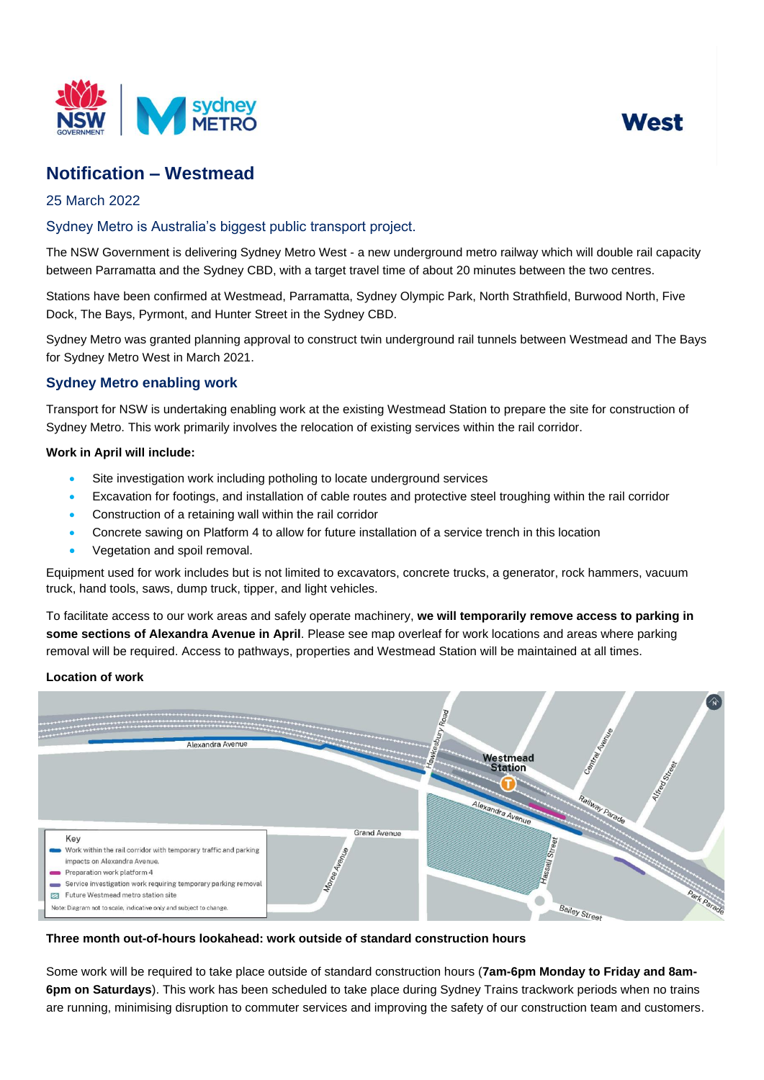



# **Notification – Westmead**

# 25 March 2022

# Sydney Metro is Australia's biggest public transport project.

The NSW Government is delivering Sydney Metro West - a new underground metro railway which will double rail capacity between Parramatta and the Sydney CBD, with a target travel time of about 20 minutes between the two centres.

Stations have been confirmed at Westmead, Parramatta, Sydney Olympic Park, North Strathfield, Burwood North, Five Dock, The Bays, Pyrmont, and Hunter Street in the Sydney CBD.

Sydney Metro was granted planning approval to construct twin underground rail tunnels between Westmead and The Bays for Sydney Metro West in March 2021.

# **Sydney Metro enabling work**

Transport for NSW is undertaking enabling work at the existing Westmead Station to prepare the site for construction of Sydney Metro. This work primarily involves the relocation of existing services within the rail corridor.

### **Work in April will include:**

- Site investigation work including potholing to locate underground services
- Excavation for footings, and installation of cable routes and protective steel troughing within the rail corridor
- Construction of a retaining wall within the rail corridor
- Concrete sawing on Platform 4 to allow for future installation of a service trench in this location
- Vegetation and spoil removal.

Equipment used for work includes but is not limited to excavators, concrete trucks, a generator, rock hammers, vacuum truck, hand tools, saws, dump truck, tipper, and light vehicles.

To facilitate access to our work areas and safely operate machinery, **we will temporarily remove access to parking in some sections of Alexandra Avenue in April**. Please see map overleaf for work locations and areas where parking removal will be required. Access to pathways, properties and Westmead Station will be maintained at all times.

#### **Location of work**



#### **Three month out-of-hours lookahead: work outside of standard construction hours**

Some work will be required to take place outside of standard construction hours (**7am-6pm Monday to Friday and 8am-6pm on Saturdays**). This work has been scheduled to take place during Sydney Trains trackwork periods when no trains are running, minimising disruption to commuter services and improving the safety of our construction team and customers.